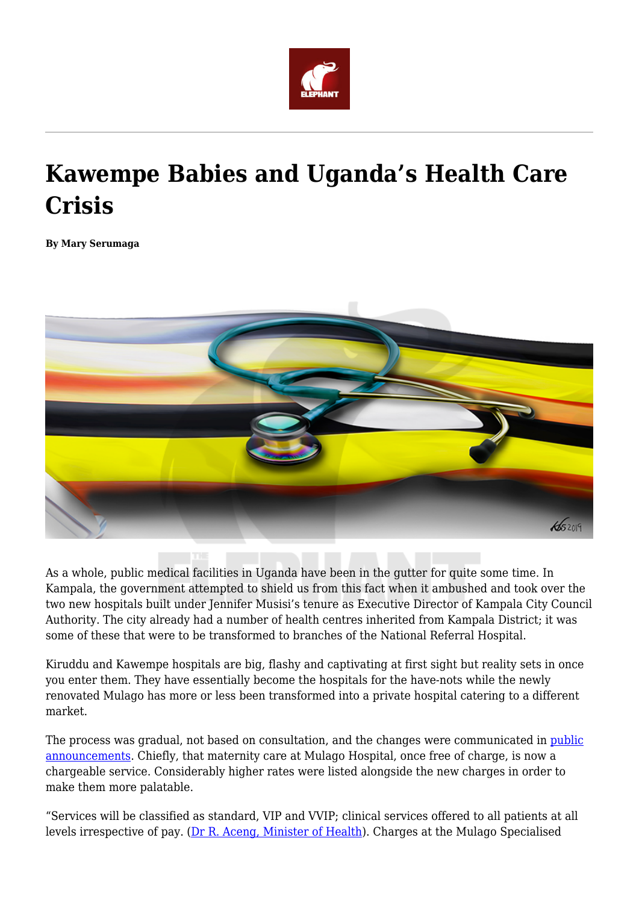

## **Kawempe Babies and Uganda's Health Care Crisis**

**By Mary Serumaga**



As a whole, public medical facilities in Uganda have been in the gutter for quite some time. In Kampala, the government attempted to shield us from this fact when it ambushed and took over the two new hospitals built under Jennifer Musisi's tenure as Executive Director of Kampala City Council Authority. The city already had a number of health centres inherited from Kampala District; it was some of these that were to be transformed to branches of the National Referral Hospital.

Kiruddu and Kawempe hospitals are big, flashy and captivating at first sight but reality sets in once you enter them. They have essentially become the hospitals for the have-nots while the newly renovated Mulago has more or less been transformed into a private hospital catering to a different market.

The process was gradual, not based on consultation, and the changes were communicated in [public](https://www.monitor.co.ug/blob/view/-/4767170/data/2114863/-/l5ovh9/-/list.pdf) [announcements.](https://www.monitor.co.ug/blob/view/-/4767170/data/2114863/-/l5ovh9/-/list.pdf) Chiefly, that maternity care at Mulago Hospital, once free of charge, is now a chargeable service. Considerably higher rates were listed alongside the new charges in order to make them more palatable.

"Services will be classified as standard, VIP and VVIP; clinical services offered to all patients at all levels irrespective of pay. [\(Dr R. Aceng, Minister of Health\)](https://www.monitor.co.ug/News/National/Government-sets-charges-new-Mulago-women-s-hospital/688334-4767146-f38go8/index.html). Charges at the Mulago Specialised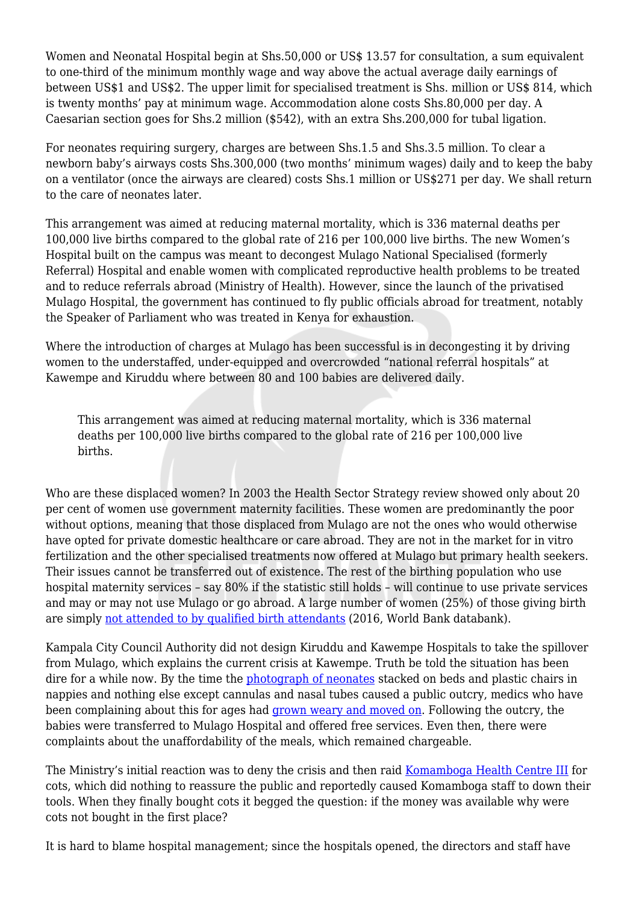Women and Neonatal Hospital begin at Shs.50,000 or US\$ 13.57 for consultation, a sum equivalent to one-third of the minimum monthly wage and way above the actual average daily earnings of between US\$1 and US\$2. The upper limit for specialised treatment is Shs. million or US\$ 814, which is twenty months' pay at minimum wage. Accommodation alone costs Shs.80,000 per day. A Caesarian section goes for Shs.2 million (\$542), with an extra Shs.200,000 for tubal ligation.

For neonates requiring surgery, charges are between Shs.1.5 and Shs.3.5 million. To clear a newborn baby's airways costs Shs.300,000 (two months' minimum wages) daily and to keep the baby on a ventilator (once the airways are cleared) costs Shs.1 million or US\$271 per day. We shall return to the care of neonates later.

This arrangement was aimed at reducing maternal mortality, which is 336 maternal deaths per 100,000 live births compared to the global rate of 216 per 100,000 live births. The new Women's Hospital built on the campus was meant to decongest Mulago National Specialised (formerly Referral) Hospital and enable women with complicated reproductive health problems to be treated and to reduce referrals abroad (Ministry of Health). However, since the launch of the privatised Mulago Hospital, the government has continued to fly public officials abroad for treatment, notably the Speaker of Parliament who was treated in Kenya for exhaustion.

Where the introduction of charges at Mulago has been successful is in decongesting it by driving women to the understaffed, under-equipped and overcrowded "national referral hospitals" at Kawempe and Kiruddu where between 80 and 100 babies are delivered daily.

This arrangement was aimed at reducing maternal mortality, which is 336 maternal deaths per 100,000 live births compared to the global rate of 216 per 100,000 live births.

Who are these displaced women? In 2003 the Health Sector Strategy review showed only about 20 per cent of women use government maternity facilities. These women are predominantly the poor without options, meaning that those displaced from Mulago are not the ones who would otherwise have opted for private domestic healthcare or care abroad. They are not in the market for in vitro fertilization and the other specialised treatments now offered at Mulago but primary health seekers. Their issues cannot be transferred out of existence. The rest of the birthing population who use hospital maternity services – say 80% if the statistic still holds – will continue to use private services and may or may not use Mulago or go abroad. A large number of women (25%) of those giving birth are simply [not attended to by qualified birth attendants](https://data.worldbank.org/indicator/SH.STA.BRTC.ZS?locations=UG&view=chart) (2016, World Bank databank).

Kampala City Council Authority did not design Kiruddu and Kawempe Hospitals to take the spillover from Mulago, which explains the current crisis at Kawempe. Truth be told the situation has been dire for a while now. By the time the [photograph of neonates](https://twitter.com/cehurduganda/status/1162306901989871617) stacked on beds and plastic chairs in nappies and nothing else except cannulas and nasal tubes caused a public outcry, medics who have been complaining about this for ages had [grown weary and moved on](https://twitter.com/fmrsema/status/1162957114895212545). Following the outcry, the babies were transferred to Mulago Hospital and offered free services. Even then, there were complaints about the unaffordability of the meals, which remained chargeable.

The Ministry's initial reaction was to deny the crisis and then raid [Komamboga Health Centre III](https://www.monitor.co.ug/artsculture/Reviews/How-city-health-centres-struggle-to-cope-in-the-face-of-Mulago/691232-2713360-2qeak8/index.html) for cots, which did nothing to reassure the public and reportedly caused Komamboga staff to down their tools. When they finally bought cots it begged the question: if the money was available why were cots not bought in the first place?

It is hard to blame hospital management; since the hospitals opened, the directors and staff have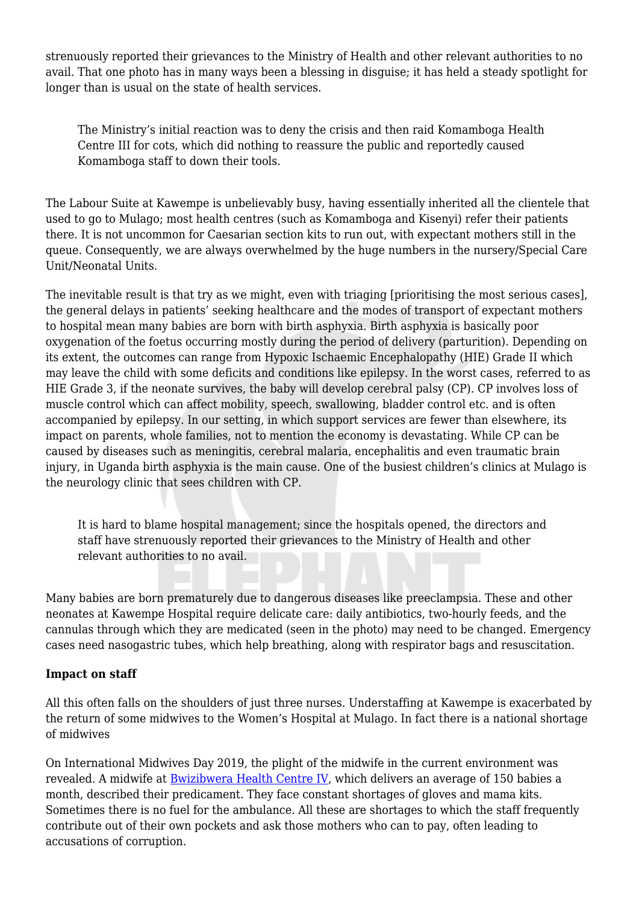strenuously reported their grievances to the Ministry of Health and other relevant authorities to no avail. That one photo has in many ways been a blessing in disguise; it has held a steady spotlight for longer than is usual on the state of health services.

The Ministry's initial reaction was to deny the crisis and then raid Komamboga Health Centre III for cots, which did nothing to reassure the public and reportedly caused Komamboga staff to down their tools.

The Labour Suite at Kawempe is unbelievably busy, having essentially inherited all the clientele that used to go to Mulago; most health centres (such as Komamboga and Kisenyi) refer their patients there. It is not uncommon for Caesarian section kits to run out, with expectant mothers still in the queue. Consequently, we are always overwhelmed by the huge numbers in the nursery/Special Care Unit/Neonatal Units.

The inevitable result is that try as we might, even with triaging [prioritising the most serious cases], the general delays in patients' seeking healthcare and the modes of transport of expectant mothers to hospital mean many babies are born with birth asphyxia. Birth asphyxia is basically poor oxygenation of the foetus occurring mostly during the period of delivery (parturition). Depending on its extent, the outcomes can range from Hypoxic Ischaemic Encephalopathy (HIE) Grade II which may leave the child with some deficits and conditions like epilepsy. In the worst cases, referred to as HIE Grade 3, if the neonate survives, the baby will develop cerebral palsy (CP). CP involves loss of muscle control which can affect mobility, speech, swallowing, bladder control etc. and is often accompanied by epilepsy. In our setting, in which support services are fewer than elsewhere, its impact on parents, whole families, not to mention the economy is devastating. While CP can be caused by diseases such as meningitis, cerebral malaria, encephalitis and even traumatic brain injury, in Uganda birth asphyxia is the main cause. One of the busiest children's clinics at Mulago is the neurology clinic that sees children with CP.

It is hard to blame hospital management; since the hospitals opened, the directors and staff have strenuously reported their grievances to the Ministry of Health and other relevant authorities to no avail.

Many babies are born prematurely due to dangerous diseases like preeclampsia. These and other neonates at Kawempe Hospital require delicate care: daily antibiotics, two-hourly feeds, and the cannulas through which they are medicated (seen in the photo) may need to be changed. Emergency cases need nasogastric tubes, which help breathing, along with respirator bags and resuscitation.

## **Impact on staff**

All this often falls on the shoulders of just three nurses. Understaffing at Kawempe is exacerbated by the return of some midwives to the Women's Hospital at Mulago. In fact there is a national shortage of midwives

On International Midwives Day 2019, the plight of the midwife in the current environment was revealed. A midwife at [Bwizibwera Health Centre IV,](https://www.newvision.co.ug/new_vision/news/1499756/midwives-demand-equipped-facilities-aid) which delivers an average of 150 babies a month, described their predicament. They face constant shortages of gloves and mama kits. Sometimes there is no fuel for the ambulance. All these are shortages to which the staff frequently contribute out of their own pockets and ask those mothers who can to pay, often leading to accusations of corruption.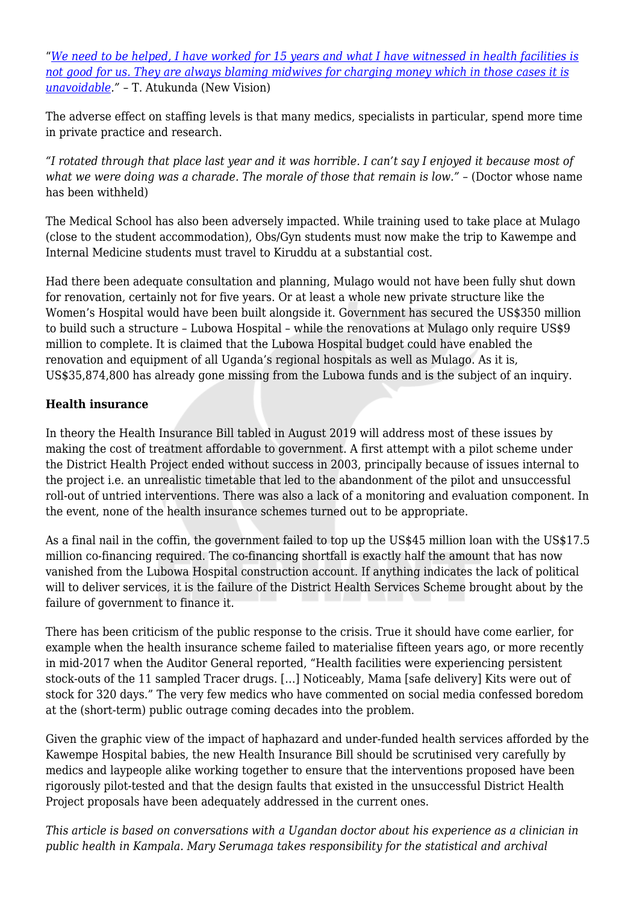"*[We need to be helped, I have worked for 15 years and what I have witnessed in health facilities is](https://www.newvision.co.ug/new_vision/news/1499756/midwives-demand-equipped-facilities-aid) [not good for us. They are always blaming midwives for charging money which in those cases it is](https://www.newvision.co.ug/new_vision/news/1499756/midwives-demand-equipped-facilities-aid) [unavoidable](https://www.newvision.co.ug/new_vision/news/1499756/midwives-demand-equipped-facilities-aid)."* – T. Atukunda (New Vision)

The adverse effect on staffing levels is that many medics, specialists in particular, spend more time in private practice and research.

*"I rotated through that place last year and it was horrible. I can't say I enjoyed it because most of what we were doing was a charade. The morale of those that remain is low."* – (Doctor whose name has been withheld)

The Medical School has also been adversely impacted. While training used to take place at Mulago (close to the student accommodation), Obs/Gyn students must now make the trip to Kawempe and Internal Medicine students must travel to Kiruddu at a substantial cost.

Had there been adequate consultation and planning, Mulago would not have been fully shut down for renovation, certainly not for five years. Or at least a whole new private structure like the Women's Hospital would have been built alongside it. Government has secured the US\$350 million to build such a structure – Lubowa Hospital – while the renovations at Mulago only require US\$9 million to complete. It is claimed that the Lubowa Hospital budget could have enabled the renovation and equipment of all Uganda's regional hospitals as well as Mulago. As it is, US\$35,874,800 has already gone missing from the Lubowa funds and is the subject of an inquiry.

## **Health insurance**

In theory the Health Insurance Bill tabled in August 2019 will address most of these issues by making the cost of treatment affordable to government. A first attempt with a pilot scheme under the District Health Project ended without success in 2003, principally because of issues internal to the project i.e. an unrealistic timetable that led to the abandonment of the pilot and unsuccessful roll-out of untried interventions. There was also a lack of a monitoring and evaluation component. In the event, none of the health insurance schemes turned out to be appropriate.

As a final nail in the coffin, the government failed to top up the US\$45 million loan with the US\$17.5 million co-financing required. The co-financing shortfall is exactly half the amount that has now vanished from the Lubowa Hospital construction account. If anything indicates the lack of political will to deliver services, it is the failure of the District Health Services Scheme brought about by the failure of government to finance it.

There has been criticism of the public response to the crisis. True it should have come earlier, for example when the health insurance scheme failed to materialise fifteen years ago, or more recently in mid-2017 when the Auditor General reported, "Health facilities were experiencing persistent stock-outs of the 11 sampled Tracer drugs. […] Noticeably, Mama [safe delivery] Kits were out of stock for 320 days." The very few medics who have commented on social media confessed boredom at the (short-term) public outrage coming decades into the problem.

Given the graphic view of the impact of haphazard and under-funded health services afforded by the Kawempe Hospital babies, the new Health Insurance Bill should be scrutinised very carefully by medics and laypeople alike working together to ensure that the interventions proposed have been rigorously pilot-tested and that the design faults that existed in the unsuccessful District Health Project proposals have been adequately addressed in the current ones.

*This article is based on conversations with a Ugandan doctor about his experience as a clinician in public health in Kampala. Mary Serumaga takes responsibility for the statistical and archival*